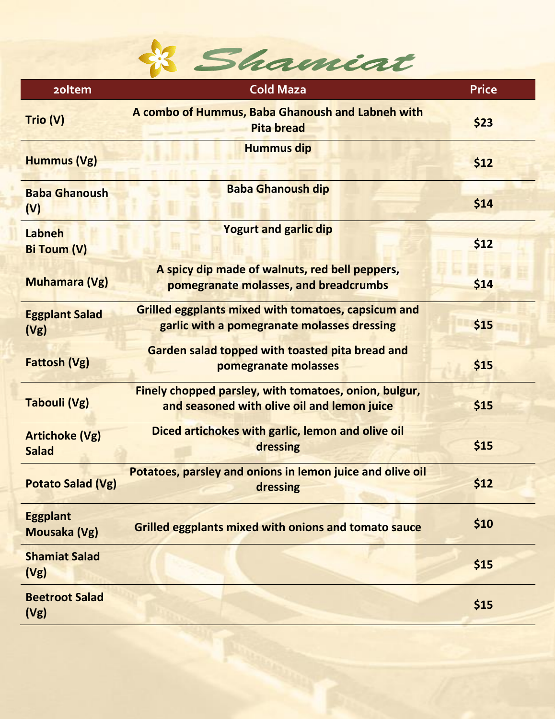

| <b>20Item</b>                         | <b>Cold Maza</b>                                                                                          | <b>Price</b> |
|---------------------------------------|-----------------------------------------------------------------------------------------------------------|--------------|
| Trio (V)                              | A combo of Hummus, Baba Ghanoush and Labneh with<br><b>Pita bread</b>                                     | \$23         |
| <b>Hummus (Vg)</b>                    | <b>Hummus dip</b>                                                                                         | \$12         |
| <b>Baba Ghanoush</b><br>(V)           | <b>Baba Ghanoush dip</b>                                                                                  | \$14         |
| Labneh<br><b>Bi Toum (V)</b>          | <b>Yogurt and garlic dip</b>                                                                              | \$12         |
| <b>Muhamara (Vg)</b>                  | A spicy dip made of walnuts, red bell peppers,<br>pomegranate molasses, and breadcrumbs                   | \$14         |
| <b>Eggplant Salad</b><br>(Vg)         | <b>Grilled eggplants mixed with tomatoes, capsicum and</b><br>garlic with a pomegranate molasses dressing | \$15         |
| <b>Fattosh (Vg)</b>                   | Garden salad topped with toasted pita bread and<br>pomegranate molasses                                   | \$15         |
| <b>Tabouli (Vg)</b>                   | Finely chopped parsley, with tomatoes, onion, bulgur,<br>and seasoned with olive oil and lemon juice      | \$15         |
| <b>Artichoke (Vg)</b><br><b>Salad</b> | Diced artichokes with garlic, lemon and olive oil<br>dressing                                             | \$15         |
| <b>Potato Salad (Vg)</b>              | Potatoes, parsley and onions in lemon juice and olive oil<br>dressing                                     | \$12         |
| <b>Eggplant</b><br>Mousaka (Vg)       | <b>Grilled eggplants mixed with onions and tomato sauce</b>                                               | \$10         |
| <b>Shamiat Salad</b><br>(Vg)          |                                                                                                           | \$15         |
| <b>Beetroot Salad</b><br>(Vg)         |                                                                                                           | \$15         |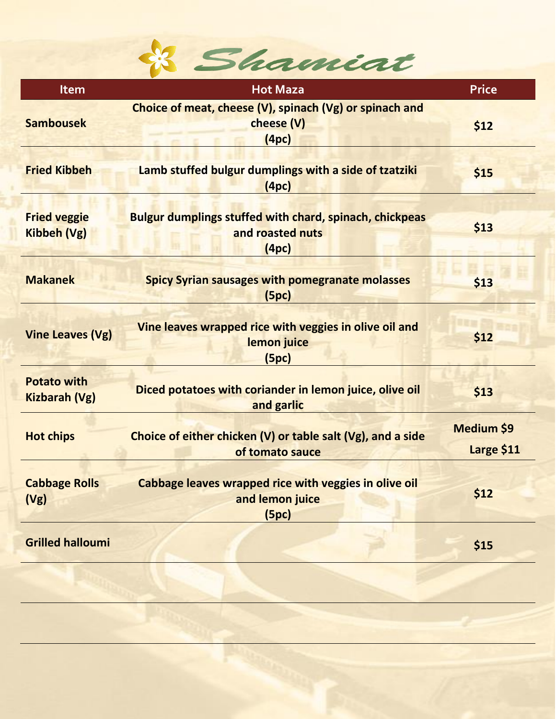

| <b>Item</b>                                | <b>Hot Maza</b>                                                                             | <b>Price</b>             |
|--------------------------------------------|---------------------------------------------------------------------------------------------|--------------------------|
| <b>Sambousek</b>                           | Choice of meat, cheese (V), spinach (Vg) or spinach and<br>cheese (V)<br>(4pc)              | \$12                     |
| <b>Fried Kibbeh</b>                        | Lamb stuffed bulgur dumplings with a side of tzatziki<br>(4pc)                              | \$15                     |
| <b>Fried veggie</b><br><b>Kibbeh (Vg)</b>  | <b>Bulgur dumplings stuffed with chard, spinach, chickpeas</b><br>and roasted nuts<br>(4pc) | \$13                     |
| <b>Makanek</b>                             | <b>Spicy Syrian sausages with pomegranate molasses</b><br>(5pc)                             | \$13                     |
| <b>Vine Leaves (Vg)</b>                    | Vine leaves wrapped rice with veggies in olive oil and<br>lemon juice<br>(5pc)              | \$12                     |
| <b>Potato with</b><br><b>Kizbarah (Vg)</b> | Diced potatoes with coriander in lemon juice, olive oil<br>and garlic                       | \$13                     |
| <b>Hot chips</b>                           | Choice of either chicken (V) or table salt (Vg), and a side<br>of tomato sauce              | Medium \$9<br>Large \$11 |
| <b>Cabbage Rolls</b><br>(Vg)               | Cabbage leaves wrapped rice with veggies in olive oil<br>and lemon juice<br>(5pc)           | \$12                     |
| <b>Grilled halloumi</b>                    |                                                                                             | \$15                     |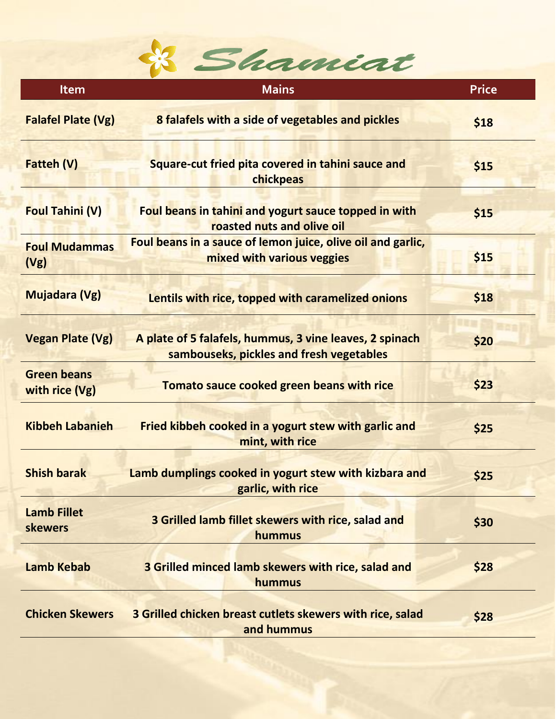

| <b>Item</b>                          | <b>Mains</b>                                                                                        | <b>Price</b> |
|--------------------------------------|-----------------------------------------------------------------------------------------------------|--------------|
| <b>Falafel Plate (Vg)</b>            | 8 falafels with a side of vegetables and pickles                                                    | \$18         |
| <b>Fatteh (V)</b>                    | Square-cut fried pita covered in tahini sauce and<br>chickpeas                                      | \$15         |
| <b>Foul Tahini (V)</b>               | Foul beans in tahini and yogurt sauce topped in with<br>roasted nuts and olive oil                  | \$15         |
| <b>Foul Mudammas</b><br>(Vg)         | Foul beans in a sauce of lemon juice, olive oil and garlic,<br>mixed with various veggies           | \$15         |
| <b>Mujadara (Vg)</b>                 | Lentils with rice, topped with caramelized onions                                                   | \$18         |
| <b>Vegan Plate (Vg)</b>              | A plate of 5 falafels, hummus, 3 vine leaves, 2 spinach<br>sambouseks, pickles and fresh vegetables | \$20         |
| <b>Green beans</b><br>with rice (Vg) | Tomato sauce cooked green beans with rice                                                           | \$23         |
| <b>Kibbeh Labanieh</b>               | Fried kibbeh cooked in a yogurt stew with garlic and<br>mint, with rice                             | \$25         |
| <b>Shish barak</b>                   | Lamb dumplings cooked in yogurt stew with kizbara and<br>garlic, with rice                          | \$25         |
| <b>Lamb Fillet</b><br>skewers        | 3 Grilled lamb fillet skewers with rice, salad and<br>hummus                                        | \$30         |
| <b>Lamb Kebab</b>                    | 3 Grilled minced lamb skewers with rice, salad and<br>hummus                                        | \$28         |
| <b>Chicken Skewers</b>               | 3 Grilled chicken breast cutlets skewers with rice, salad<br>and hummus                             | \$28         |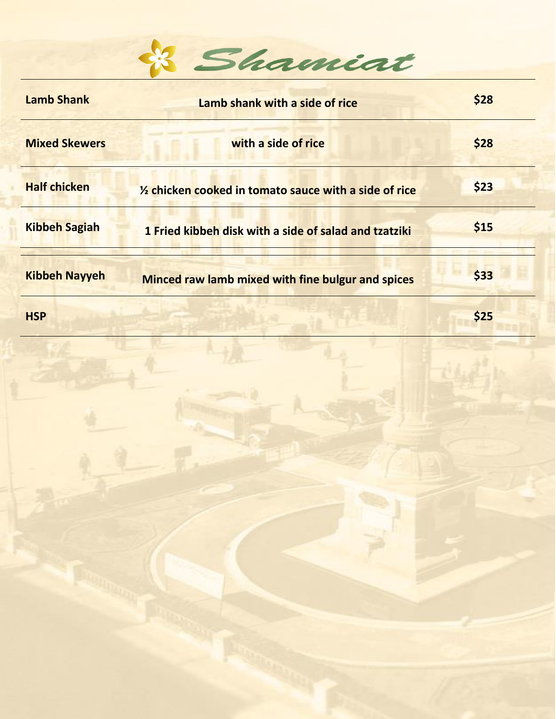

| <b>Lamb Shank</b>    | Lamb shank with a side of rice                           | \$28 |
|----------------------|----------------------------------------------------------|------|
| <b>Mixed Skewers</b> | with a side of rice                                      | \$28 |
| <b>Half chicken</b>  | 1/2 chicken cooked in tomato sauce with a side of rice   | \$23 |
| <b>Kibbeh Sagiah</b> | 1 Fried kibbeh disk with a side of salad and tzatziki    | \$15 |
| <b>Kibbeh Nayyeh</b> | <b>Minced raw lamb mixed with fine bulgur and spices</b> | \$33 |
| <b>HSP</b>           |                                                          | \$25 |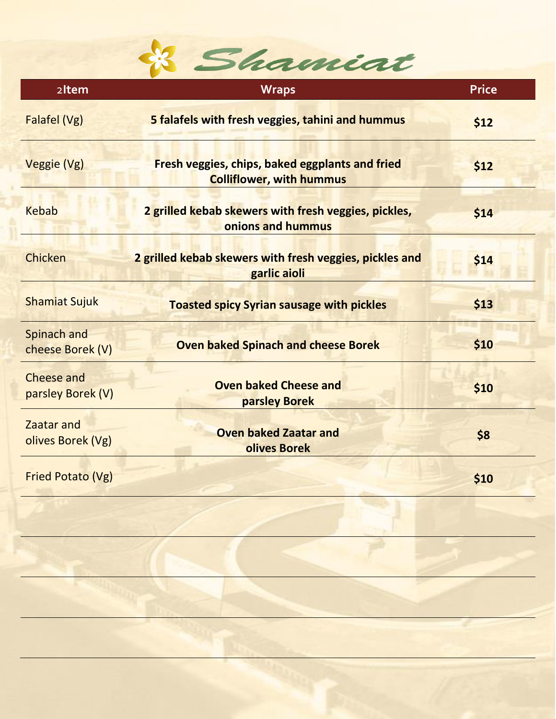

| 2Item                                  | <b>Wraps</b>                                                                              | <b>Price</b> |
|----------------------------------------|-------------------------------------------------------------------------------------------|--------------|
| Falafel (Vg)                           | 5 falafels with fresh veggies, tahini and hummus                                          | \$12         |
| Veggie (Vg)                            | <b>Fresh veggies, chips, baked eggplants and fried</b><br><b>Colliflower, with hummus</b> | \$12         |
| <b>Kebab</b>                           | 2 grilled kebab skewers with fresh veggies, pickles,<br>onions and hummus                 | \$14         |
| Chicken                                | 2 grilled kebab skewers with fresh veggies, pickles and<br>garlic aioli                   | \$14         |
| <b>Shamiat Sujuk</b>                   | <b>Toasted spicy Syrian sausage with pickles</b>                                          | \$13         |
| Spinach and<br>cheese Borek (V)        | <b>Oven baked Spinach and cheese Borek</b>                                                | \$10         |
| <b>Cheese and</b><br>parsley Borek (V) | <b>Oven baked Cheese and</b><br>parsley Borek                                             | \$10         |
| Zaatar and<br>olives Borek (Vg)        | <b>Oven baked Zaatar and</b><br><b>olives Borek</b>                                       | \$8          |
| Fried Potato (Vg)                      |                                                                                           | \$10         |